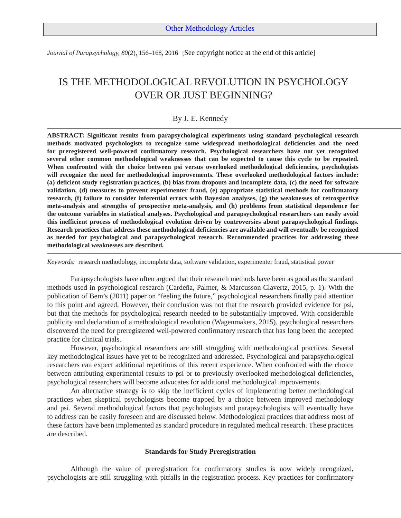*Journal of Parapsychology, 80*(2), 156–168, 2016 [See copyright notice at the end of this article]

# IS THE METHODOLOGICAL REVOLUTION IN PSYCHOLOGY OVER OR JUST BEGINNING?

# By J. E. Kennedy

**ABSTRACT: Significant results from parapsychological experiments using standard psychological research methods motivated psychologists to recognize some widespread methodological deficiencies and the need for preregistered well-powered confirmatory research. Psychological researchers have not yet recognized several other common methodological weaknesses that can be expected to cause this cycle to be repeated. When confronted with the choice between psi versus overlooked methodological deficiencies, psychologists will recognize the need for methodological improvements. These overlooked methodological factors include:** (a) deficient study registration practices, (b) bias from dropouts and incomplete data, (c) the need for software **validation, (d) measures to prevent experimenter fraud, (e) appropriate statistical methods for confirmatory research, (f) failure to consider inferential errors with Bayesian analyses, (g) the weaknesses of retrospective meta-analysis and strengths of prospective meta-analysis, and (h) problems from statistical dependence for the outcome variables in statistical analyses. Psychological and parapsychological researchers can easily avoid this inefficient process of methodological evolution driven by controversies about parapsychological findings. Research practices that address these methodological deficiencies are available and will eventually be recognized as needed for psychological and parapsychological research. Recommended practices for addressing these methodological weaknesses are described.**

*Keywords:* research methodology, incomplete data, software validation, experimenter fraud, statistical power

Parapsychologists have often argued that their research methods have been as good as the standard methods used in psychological research (Cardeña, Palmer, & Marcusson-Clavertz, 2015, p. 1). With the publication of Bem's (2011) paper on "feeling the future," psychological researchers finally paid attention to this point and agreed. However, their conclusion was not that the research provided evidence for psi, but that the methods for psychological research needed to be substantially improved. With considerable publicity and declaration of a methodological revolution (Wagenmakers, 2015), psychological researchers discovered the need for preregistered well-powered confirmatory research that has long been the accepted practice for clinical trials.

However, psychological researchers are still struggling with methodological practices. Several key methodological issues have yet to be recognized and addressed. Psychological and parapsychological researchers can expect additional repetitions of this recent experience. When confronted with the choice between attributing experimental results to psi or to previously overlooked methodological deficiencies, psychological researchers will become advocates for additional methodological improvements.

An alternative strategy is to skip the inefficient cycles of implementing better methodological practices when skeptical psychologists become trapped by a choice between improved methodology and psi. Several methodological factors that psychologists and parapsychologists will eventually have to address can be easily foreseen and are discussed below. Methodological practices that address most of these factors have been implemented as standard procedure in regulated medical research. These practices are described.

#### **Standards for Study Preregistration**

Although the value of preregistration for confirmatory studies is now widely recognized, psychologists are still struggling with pitfalls in the registration process. Key practices for confirmatory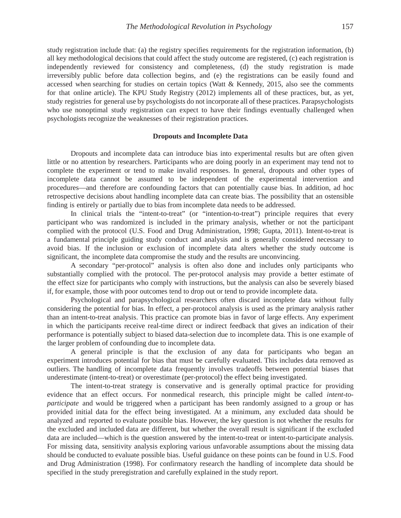study registration include that: (a) the registry specifies requirements for the registration information, (b) all key methodological decisions that could affect the study outcome are registered, (c) each registration is independently reviewed for consistency and completeness, (d) the study registration is made irreversibly public before data collection begins, and (e) the registrations can be easily found and accessed when searching for studies on certain topics (Watt & Kennedy, 2015, also see the comments for that online article). The KPU Study Registry (2012) implements all of these practices, but, as yet, study registries for general use by psychologists do not incorporate all of these practices. Parapsychologists who use nonoptimal study registration can expect to have their findings eventually challenged when psychologists recognize the weaknesses of their registration practices.

## **Dropouts and Incomplete Data**

Dropouts and incomplete data can introduce bias into experimental results but are often given little or no attention by researchers. Participants who are doing poorly in an experiment may tend not to complete the experiment or tend to make invalid responses. In general, dropouts and other types of incomplete data cannot be assumed to be independent of the experimental intervention and procedures—and therefore are confounding factors that can potentially cause bias. In addition, ad hoc retrospective decisions about handling incomplete data can create bias. The possibility that an ostensible finding is entirely or partially due to bias from incomplete data needs to be addressed.

In clinical trials the "intent-to-treat" (or "intention-to-treat") principle requires that every participant who was randomized is included in the primary analysis, whether or not the participant complied with the protocol (U.S. Food and Drug Administration, 1998; Gupta, 2011). Intent-to-treat is a fundamental principle guiding study conduct and analysis and is generally considered necessary to avoid bias. If the inclusion or exclusion of incomplete data alters whether the study outcome is significant, the incomplete data compromise the study and the results are unconvincing.

A secondary "per-protocol" analysis is often also done and includes only participants who substantially complied with the protocol. The per-protocol analysis may provide a better estimate of the effect size for participants who comply with instructions, but the analysis can also be severely biased if, for example, those with poor outcomes tend to drop out or tend to provide incomplete data.

Psychological and parapsychological researchers often discard incomplete data without fully considering the potential for bias. In effect, a per-protocol analysis is used as the primary analysis rather than an intent-to-treat analysis. This practice can promote bias in favor of large effects. Any experiment in which the participants receive real-time direct or indirect feedback that gives an indication of their performance is potentially subject to biased data-selection due to incomplete data. This is one example of the larger problem of confounding due to incomplete data.

A general principle is that the exclusion of any data for participants who began an experiment introduces potential for bias that must be carefully evaluated. This includes data removed as outliers. The handling of incomplete data frequently involves tradeoffs between potential biases that underestimate (intent-to-treat) or overestimate (per-protocol) the effect being investigated.

The intent-to-treat strategy is conservative and is generally optimal practice for providing evidence that an effect occurs. For nonmedical research, this principle might be called *intent-toparticipate* and would be triggered when a participant has been randomly assigned to a group or has provided initial data for the effect being investigated. At a minimum, any excluded data should be analyzed and reported to evaluate possible bias. However, the key question is not whether the results for the excluded and included data are different, but whether the overall result is significant if the excluded data are included—which is the question answered by the intent-to-treat or intent-to-participate analysis. For missing data, sensitivity analysis exploring various unfavorable assumptions about the missing data should be conducted to evaluate possible bias. Useful guidance on these points can be found in U.S. Food and Drug Administration (1998). For confirmatory research the handling of incomplete data should be specified in the study preregistration and carefully explained in the study report.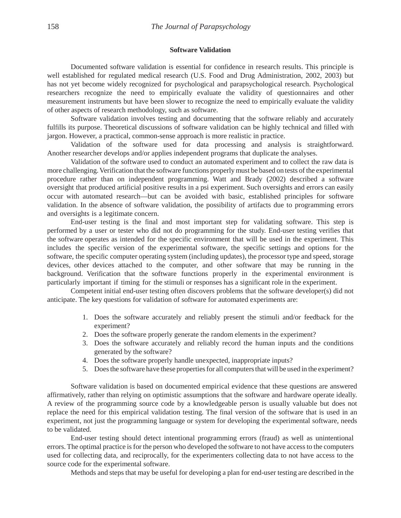### **Software Validation**

Documented software validation is essential for confidence in research results. This principle is well established for regulated medical research (U.S. Food and Drug Administration, 2002, 2003) but has not yet become widely recognized for psychological and parapsychological research. Psychological researchers recognize the need to empirically evaluate the validity of questionnaires and other measurement instruments but have been slower to recognize the need to empirically evaluate the validity of other aspects of research methodology, such as software.

Software validation involves testing and documenting that the software reliably and accurately fulfills its purpose. Theoretical discussions of software validation can be highly technical and filled with jargon. However, a practical, common-sense approach is more realistic in practice.

Validation of the software used for data processing and analysis is straightforward. Another researcher develops and/or applies independent programs that duplicate the analyses.

Validation of the software used to conduct an automated experiment and to collect the raw data is more challenging.Verification that the software functions properlymust be based on tests of the experimental procedure rather than on independent programming. Watt and Brady (2002) described a software oversight that produced artificial positive results in a psi experiment. Such oversights and errors can easily occur with automated research—but can be avoided with basic, established principles for software validation. In the absence of software validation, the possibility of artifacts due to programming errors and oversights is a legitimate concern.

End-user testing is the final and most important step for validating software. This step is performed by a user or tester who did not do programming for the study. End-user testing verifies that the software operates as intended for the specific environment that will be used in the experiment. This includes the specific version of the experimental software, the specific settings and options for the software, the specific computer operating system (including updates), the processor type and speed, storage devices, other devices attached to the computer, and other software that may be running in the background. Verification that the software functions properly in the experimental environment is particularly important if timing for the stimuli or responses has a significant role in the experiment.

Competent initial end-user testing often discovers problems that the software developer(s) did not anticipate. The key questions for validation of software for automated experiments are:

- 1. Does the software accurately and reliably present the stimuli and/or feedback for the experiment?
- 2. Does the software properly generate the random elements in the experiment?
- 3. Does the software accurately and reliably record the human inputs and the conditions generated by the software?
- 4. Does the software properly handle unexpected, inappropriate inputs?
- 5. Does the software have these properties for all computers that will be used in the experiment?

Software validation is based on documented empirical evidence that these questions are answered affirmatively, rather than relying on optimistic assumptions that the software and hardware operate ideally. A review of the programming source code by a knowledgeable person is usually valuable but does not replace the need for this empirical validation testing. The final version of the software that is used in an experiment, not just the programming language or system for developing the experimental software, needs to be validated.

End-user testing should detect intentional programming errors (fraud) as well as unintentional errors.The optimal practice isfor the person who developed the software to not have accessto the computers used for collecting data, and reciprocally, for the experimenters collecting data to not have access to the source code for the experimental software.

Methods and steps that may be useful for developing a plan for end-user testing are described in the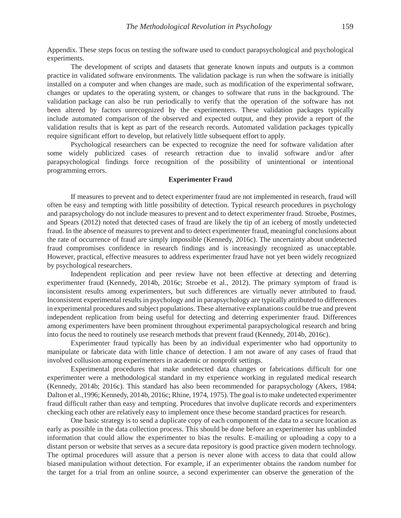Appendix. These steps focus on testing the software used to conduct parapsychological and psychological experiments.

The development of scripts and datasets that generate known inputs and outputs is a common practice in validated software environments. The validation package is run when the software is initially installed on a computer and when changes are made, such as modification of the experimental software, changes or updates to the operating system, or changes to software that runs in the background. The validation package can also be run periodically to verify that the operation of the software has not been altered by factors unrecognized by the experimenters. These validation packages typically include automated comparison of the observed and expected output, and they provide a report of the validation results that is kept as part of the research records. Automated validation packages typically require significant effort to develop, but relatively little subsequent effort to apply.

Psychological researchers can be expected to recognize the need for software validation after some widely publicized cases of research retraction due to invalid software and/or after parapsychological findings force recognition of the possibility of unintentional or intentional programming errors.

#### **Experimenter Fraud**

If measures to prevent and to detect experimenter fraud are not implemented in research, fraud will often be easy and tempting with little possibility of detection. Typical research procedures in psychology and parapsychology do not include measures to prevent and to detect experimenter fraud. Stroebe, Postmes, and Spears (2012) noted that detected cases of fraud are likely the tip of an iceberg of mostly undetected fraud. In the absence of measures to prevent and to detect experimenter fraud, meaningful conclusions about the rate of occurrence of fraud are simply impossible (Kennedy, 2016c). The uncertainty about undetected fraud compromises confidence in research findings and is increasingly recognized as unacceptable. However, practical, effective measures to address experimenter fraud have not yet been widely recognized by psychological researchers.

Independent replication and peer review have not been effective at detecting and deterring experimenter fraud (Kennedy, 2014b, 2016c; Stroebe et al., 2012). The primary symptom of fraud is inconsistent results among experimenters, but such differences are virtually never attributed to fraud. Inconsistent experimental results in psychology and in parapsychology are typically attributed to differences in experimental procedures and subject populations. These alternative explanations could be true and prevent independent replication from being useful for detecting and deterring experimenter fraud. Differences among experimenters have been prominent throughout experimental parapsychological research and bring into focus the need to routinely use research methods that prevent fraud (Kennedy, 2014b, 2016c).

Experimenter fraud typically has been by an individual experimenter who had opportunity to manipulate or fabricate data with little chance of detection. I am not aware of any cases of fraud that involved collusion among experimenters in academic or nonprofit settings.

Experimental procedures that make undetected data changes or fabrications difficult for one experimenter were a methodological standard in my experience working in regulated medical research (Kennedy, 2014b; 2016c). This standard has also been recommended for parapsychology (Akers, 1984; Dalton et al., 1996; Kennedy, 2014b, 2016c; Rhine, 1974, 1975). The goal is to make undetected experimenter fraud difficult rather than easy and tempting. Procedures that involve duplicate records and experimenters checking each other are relatively easy to implement once these become standard practices for research.

One basic strategy is to send a duplicate copy of each component of the data to a secure location as early as possible in the data collection process. This should be done before an experimenter has unblinded information that could allow the experimenter to bias the results. E-mailing or uploading a copy to a distant person or website that serves as a secure data repository is good practice given modern technology. The optimal procedures will assure that a person is never alone with access to data that could allow biased manipulation without detection. For example, if an experimenter obtains the random number for the target for a trial from an online source, a second experimenter can observe the generation of the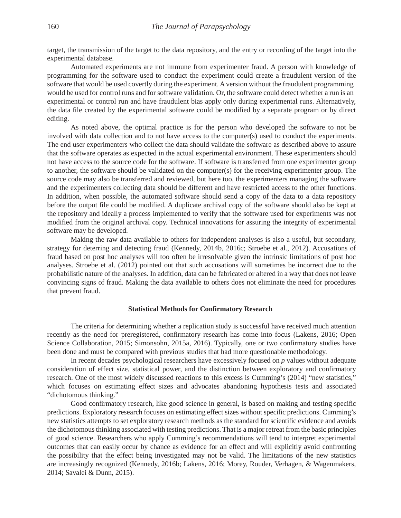target, the transmission of the target to the data repository, and the entry or recording of the target into the experimental database.

Automated experiments are not immune from experimenter fraud. A person with knowledge of programming for the software used to conduct the experiment could create a fraudulent version of the software that would be used covertly during the experiment. A version without the fraudulent programming would be used for control runs and for software validation. Or, the software could detect whether a run is an experimental or control run and have fraudulent bias apply only during experimental runs. Alternatively, the data file created by the experimental software could be modified by a separate program or by direct editing.

As noted above, the optimal practice is for the person who developed the software to not be involved with data collection and to not have access to the computer(s) used to conduct the experiments. The end user experimenters who collect the data should validate the software as described above to assure that the software operates as expected in the actual experimental environment. These experimenters should not have access to the source code for the software. If software is transferred from one experimenter group to another, the software should be validated on the computer(s) for the receiving experimenter group. The source code may also be transferred and reviewed, but here too, the experimenters managing the software and the experimenters collecting data should be different and have restricted access to the other functions. In addition, when possible, the automated software should send a copy of the data to a data repository before the output file could be modified. A duplicate archival copy of the software should also be kept at the repository and ideally a process implemented to verify that the software used for experiments was not modified from the original archival copy. Technical innovations for assuring the integrity of experimental software may be developed.

Making the raw data available to others for independent analyses is also a useful, but secondary, strategy for deterring and detecting fraud (Kennedy, 2014b, 2016c; Stroebe et al., 2012). Accusations of fraud based on post hoc analyses will too often be irresolvable given the intrinsic limitations of post hoc analyses. Stroebe et al. (2012) pointed out that such accusations will sometimes be incorrect due to the probabilistic nature of the analyses. In addition, data can be fabricated or altered in a way that does not leave convincing signs of fraud. Making the data available to others does not eliminate the need for procedures that prevent fraud.

### **Statistical Methods for Confirmatory Research**

The criteria for determining whether a replication study is successful have received much attention recently as the need for preregistered, confirmatory research has come into focus (Lakens, 2016; Open Science Collaboration, 2015; Simonsohn, 2015a, 2016). Typically, one or two confirmatory studies have been done and must be compared with previous studies that had more questionable methodology.

In recent decades psychological researchers have excessively focused on *p* values without adequate consideration of effect size, statistical power, and the distinction between exploratory and confirmatory research. One of the most widely discussed reactions to this excess is Cumming's (2014) "new statistics," which focuses on estimating effect sizes and advocates abandoning hypothesis tests and associated "dichotomous thinking."

Good confirmatory research, like good science in general, is based on making and testing specific predictions. Exploratory research focuses on estimating effect sizes without specific predictions. Cumming's new statistics attempts to set exploratory research methods as the standard for scientific evidence and avoids the dichotomous thinking associated with testing predictions. That is a major retreat from the basic principles of good science. Researchers who apply Cumming's recommendations will tend to interpret experimental outcomes that can easily occur by chance as evidence for an effect and will explicitly avoid confronting the possibility that the effect being investigated may not be valid. The limitations of the new statistics are increasingly recognized (Kennedy, 2016b; Lakens, 2016; Morey, Rouder, Verhagen, & Wagenmakers, 2014; Savalei & Dunn, 2015).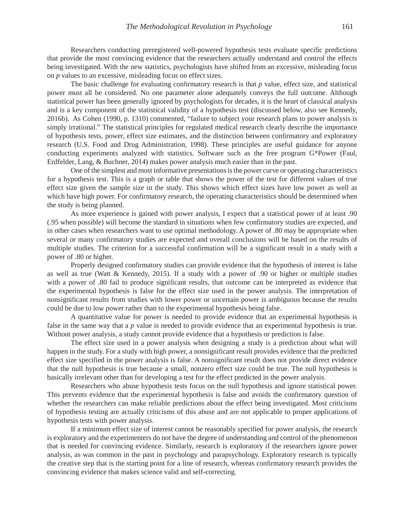Researchers conducting preregistered well-powered hypothesis tests evaluate specific predictions that provide the most convincing evidence that the researchers actually understand and control the effects being investigated. With the new statistics, psychologists have shifted from an excessive, misleading focus on *p* values to an excessive, misleading focus on effect sizes.

The basic challenge for evaluating confirmatory research is that *p* value, effect size, and statistical power must all be considered. No one parameter alone adequately conveys the full outcome. Although statistical power has been generally ignored by psychologists for decades, it is the heart of classical analysis and is a key component of the statistical validity of a hypothesis test (discussed below, also see Kennedy, 2016b). As Cohen (1990, p. 1310) commented, "failure to subject your research plans to power analysis is simply irrational." The statistical principles for regulated medical research clearly describe the importance of hypothesis tests, power, effect size estimates, and the distinction between confirmatory and exploratory research (U.S. Food and Drug Administration, 1998). These principles are useful guidance for anyone conducting experiments analyzed with statistics. Software such as the free program G\*Power (Faul, Erdfelder, Lang, & Buchner, 2014) makes power analysis much easier than in the past.

One of the simplest and most informative presentations is the power curve or operating characteristics for a hypothesis test. This is a graph or table that shows the power of the test for different values of true effect size given the sample size in the study. This shows which effect sizes have low power as well as which have high power. For confirmatory research, the operating characteristics should be determined when the study is being planned.

As more experience is gained with power analysis, I expect that a statistical power of at least .90 (.95 when possible) will become the standard in situations when few confirmatory studies are expected, and in other cases when researchers want to use optimal methodology. A power of .80 may be appropriate when several or many confirmatory studies are expected and overall conclusions will be based on the results of multiple studies. The criterion for a successful confirmation will be a significant result in a study with a power of .80 or higher.

Properly designed confirmatory studies can provide evidence that the hypothesis of interest is false as well as true (Watt & Kennedy, 2015). If a study with a power of .90 or higher or multiple studies with a power of .80 fail to produce significant results, that outcome can be interpreted as evidence that the experimental hypothesis is false for the effect size used in the power analysis. The interpretation of nonsignificant results from studies with lower power or uncertain power is ambiguous because the results could be due to low power rather than to the experimental hypothesis being false.

A quantitative value for power is needed to provide evidence that an experimental hypothesis is false in the same way that a *p* value is needed to provide evidence that an experimental hypothesis is true. Without power analysis, a study cannot provide evidence that a hypothesis or prediction is false.

The effect size used in a power analysis when designing a study is a prediction about what will happen in the study. For a study with high power, a nonsignificant result provides evidence that the predicted effect size specified in the power analysis is false. A nonsignificant result does not provide direct evidence that the null hypothesis is true because a small, nonzero effect size could be true. The null hypothesis is basically irrelevant other than for developing a test for the effect predicted in the power analysis.

Researchers who abuse hypothesis tests focus on the null hypothesis and ignore statistical power. This prevents evidence that the experimental hypothesis is false and avoids the confirmatory question of whether the researchers can make reliable predictions about the effect being investigated. Most criticisms of hypothesis testing are actually criticisms of this abuse and are not applicable to proper applications of hypothesis tests with power analysis.

If a minimum effect size of interest cannot be reasonably specified for power analysis, the research is exploratory and the experimenters do not have the degree of understanding and control of the phenomenon that is needed for convincing evidence. Similarly, research is exploratory if the researchers ignore power analysis, as was common in the past in psychology and parapsychology. Exploratory research is typically the creative step that is the starting point for a line of research, whereas confirmatory research provides the convincing evidence that makes science valid and self-correcting.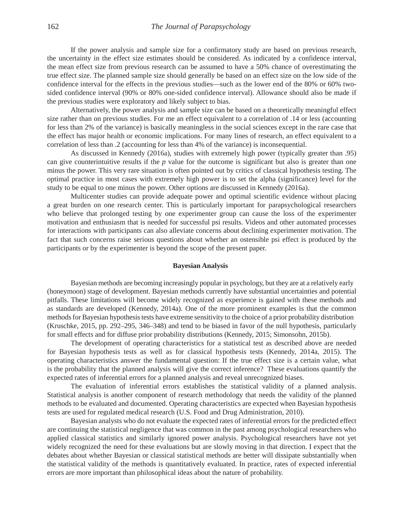If the power analysis and sample size for a confirmatory study are based on previous research, the uncertainty in the effect size estimates should be considered. As indicated by a confidence interval, the mean effect size from previous research can be assumed to have a 50% chance of overestimating the true effect size. The planned sample size should generally be based on an effect size on the low side of the confidence interval for the effects in the previous studies—such as the lower end of the 80% or 60% twosided confidence interval (90% or 80% one-sided confidence interval). Allowance should also be made if the previous studies were exploratory and likely subject to bias.

Alternatively, the power analysis and sample size can be based on a theoretically meaningful effect size rather than on previous studies. For me an effect equivalent to a correlation of .14 or less (accounting for less than 2% of the variance) is basically meaningless in the social sciences except in the rare case that the effect has major health or economic implications. For many lines of research, an effect equivalent to a correlation of less than .2 (accounting for less than 4% of the variance) is inconsequential.

As discussed in Kennedy (2016a), studies with extremely high power (typically greater than .95) can give counterintuitive results if the *p* value for the outcome is significant but also is greater than one minus the power. This very rare situation is often pointed out by critics of classical hypothesis testing. The optimal practice in most cases with extremely high power is to set the alpha (significance) level for the study to be equal to one minus the power. Other options are discussed in Kennedy (2016a).

Multicenter studies can provide adequate power and optimal scientific evidence without placing a great burden on one research center. This is particularly important for parapsychological researchers who believe that prolonged testing by one experimenter group can cause the loss of the experimenter motivation and enthusiasm that is needed for successful psi results. Videos and other automated processes for interactions with participants can also alleviate concerns about declining experimenter motivation. The fact that such concerns raise serious questions about whether an ostensible psi effect is produced by the participants or by the experimenter is beyond the scope of the present paper.

#### **Bayesian Analysis**

Bayesian methods are becoming increasingly popular in psychology, but they are at a relatively early (honeymoon) stage of development. Bayesian methods currently have substantial uncertainties and potential pitfalls. These limitations will become widely recognized as experience is gained with these methods and as standards are developed (Kennedy, 2014a). One of the more prominent examples is that the common methods for Bayesian hypothesis tests have extreme sensitivity to the choice of a prior probability distribution (Kruschke, 2015, pp. 292–295, 346–348) and tend to be biased in favor of the null hypothesis, particularly for small effects and for diffuse prior probability distributions (Kennedy, 2015; Simonsohn, 2015b).

The development of operating characteristics for a statistical test as described above are needed for Bayesian hypothesis tests as well as for classical hypothesis tests (Kennedy, 2014a, 2015). The operating characteristics answer the fundamental question: If the true effect size is a certain value, what is the probability that the planned analysis will give the correct inference? These evaluations quantify the expected rates of inferential errors for a planned analysis and reveal unrecognized biases.

The evaluation of inferential errors establishes the statistical validity of a planned analysis. Statistical analysis is another component of research methodology that needs the validity of the planned methods to be evaluated and documented. Operating characteristics are expected when Bayesian hypothesis tests are used for regulated medical research (U.S. Food and Drug Administration, 2010).

Bayesian analysts who do not evaluate the expected rates of inferential errors for the predicted effect are continuing the statistical negligence that was common in the past among psychological researchers who applied classical statistics and similarly ignored power analysis. Psychological researchers have not yet widely recognized the need for these evaluations but are slowly moving in that direction. I expect that the debates about whether Bayesian or classical statistical methods are better will dissipate substantially when the statistical validity of the methods is quantitatively evaluated. In practice, rates of expected inferential errors are more important than philosophical ideas about the nature of probability.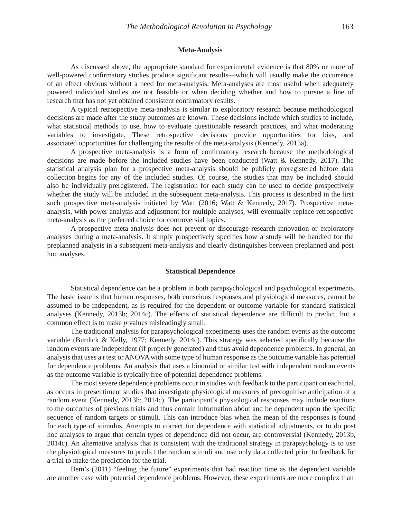#### **Meta-Analysis**

As discussed above, the appropriate standard for experimental evidence is that 80% or more of well-powered confirmatory studies produce significant results—which will usually make the occurrence of an effect obvious without a need for meta-analysis. Meta-analyses are most useful when adequately powered individual studies are not feasible or when deciding whether and how to pursue a line of research that has not yet obtained consistent confirmatory results.

A typical retrospective meta-analysis is similar to exploratory research because methodological decisions are made after the study outcomes are known. These decisions include which studies to include, what statistical methods to use, how to evaluate questionable research practices, and what moderating variables to investigate. These retrospective decisions provide opportunities for bias, and associated opportunities for challenging the results of the meta-analysis (Kennedy, 2013a).

A prospective meta-analysis is a form of confirmatory research because the methodological decisions are made before the included studies have been conducted (Watt & Kennedy, 2017). The statistical analysis plan for a prospective meta-analysis should be publicly preregistered before data collection begins for any of the included studies. Of course, the studies that may be included should also be individually preregistered. The registration for each study can be used to decide prospectively whether the study will be included in the subsequent meta-analysis. This process is described in the first such prospective meta-analysis initiated by Watt (2016; Watt & Kennedy, 2017). Prospective metaanalysis, with power analysis and adjustment for multiple analyses, will eventually replace retrospective meta-analysis as the preferred choice for controversial topics.

A prospective meta-analysis does not prevent or discourage research innovation or exploratory analyses during a meta-analysis. It simply prospectively specifies how a study will be handled for the preplanned analysis in a subsequent meta-analysis and clearly distinguishes between preplanned and post hoc analyses.

#### **Statistical Dependence**

Statistical dependence can be a problem in both parapsychological and psychological experiments. The basic issue is that human responses, both conscious responses and physiological measures, cannot be assumed to be independent, as is required for the dependent or outcome variable for standard statistical analyses (Kennedy, 2013b; 2014c). The effects of statistical dependence are difficult to predict, but a common effect is to make *p* values misleadingly small.

The traditional analysis for parapsychological experiments uses the random events as the outcome variable (Burdick & Kelly, 1977; Kennedy, 2014c). This strategy was selected specifically because the random events are independent (if properly generated) and thus avoid dependence problems. In general, an analysis that uses a *t* test orANOVAwith some type of human response as the outcome variable has potential for dependence problems. An analysis that uses a binomial or similar test with independent random events as the outcome variable is typically free of potential dependence problems.

The most severe dependence problems occur in studies with feedback to the participant on each trial, as occurs in presentiment studies that investigate physiological measures of precognitive anticipation of a random event (Kennedy, 2013b; 2014c). The participant's physiological responses may include reactions to the outcomes of previous trials and thus contain information about and be dependent upon the specific sequence of random targets or stimuli. This can introduce bias when the mean of the responses is found for each type of stimulus. Attempts to correct for dependence with statistical adjustments, or to do post hoc analyses to argue that certain types of dependence did not occur, are controversial (Kennedy, 2013b, 2014c). An alternative analysis that is consistent with the traditional strategy in parapsychology is to use the physiological measures to predict the random stimuli and use only data collected prior to feedback for a trial to make the prediction for the trial.

Bem's (2011) "feeling the future" experiments that had reaction time as the dependent variable are another case with potential dependence problems. However, these experiments are more complex than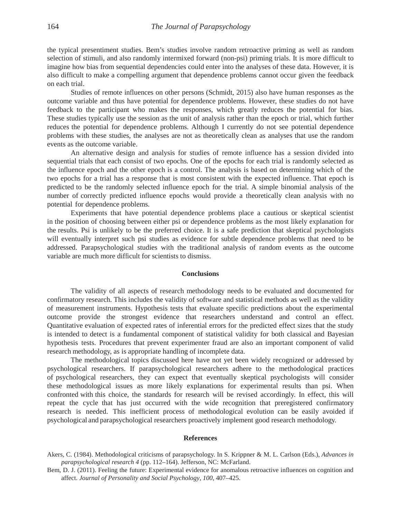the typical presentiment studies. Bem's studies involve random retroactive priming as well as random selection of stimuli, and also randomly intermixed forward (non-psi) priming trials. It is more difficult to imagine how bias from sequential dependencies could enter into the analyses of these data. However, it is also difficult to make a compelling argument that dependence problems cannot occur given the feedback on each trial.

Studies of remote influences on other persons (Schmidt, 2015) also have human responses as the outcome variable and thus have potential for dependence problems. However, these studies do not have feedback to the participant who makes the responses, which greatly reduces the potential for bias. These studies typically use the session as the unit of analysis rather than the epoch or trial, which further reduces the potential for dependence problems. Although I currently do not see potential dependence problems with these studies, the analyses are not as theoretically clean as analyses that use the random events as the outcome variable.

An alternative design and analysis for studies of remote influence has a session divided into sequential trials that each consist of two epochs. One of the epochs for each trial is randomly selected as the influence epoch and the other epoch is a control. The analysis is based on determining which of the two epochs for a trial has a response that is most consistent with the expected influence. That epoch is predicted to be the randomly selected influence epoch for the trial. A simple binomial analysis of the number of correctly predicted influence epochs would provide a theoretically clean analysis with no potential for dependence problems.

Experiments that have potential dependence problems place a cautious or skeptical scientist in the position of choosing between either psi or dependence problems as the most likely explanation for the results. Psi is unlikely to be the preferred choice. It is a safe prediction that skeptical psychologists will eventually interpret such psi studies as evidence for subtle dependence problems that need to be addressed. Parapsychological studies with the traditional analysis of random events as the outcome variable are much more difficult for scientists to dismiss.

#### **Conclusions**

The validity of all aspects of research methodology needs to be evaluated and documented for confirmatory research. This includes the validity of software and statistical methods as well as the validity of measurement instruments. Hypothesis tests that evaluate specific predictions about the experimental outcome provide the strongest evidence that researchers understand and control an effect. Quantitative evaluation of expected rates of inferential errors for the predicted effect sizes that the study is intended to detect is a fundamental component of statistical validity for both classical and Bayesian hypothesis tests. Procedures that prevent experimenter fraud are also an important component of valid research methodology, as is appropriate handling of incomplete data.

The methodological topics discussed here have not yet been widely recognized or addressed by psychological researchers. If parapsychological researchers adhere to the methodological practices of psychological researchers, they can expect that eventually skeptical psychologists will consider these methodological issues as more likely explanations for experimental results than psi. When confronted with this choice, the standards for research will be revised accordingly. In effect, this will repeat the cycle that has just occurred with the wide recognition that preregistered confirmatory research is needed. This inefficient process of methodological evolution can be easily avoided if psychological and parapsychological researchers proactively implement good research methodology.

#### **References**

- Akers, C. (1984). Methodological criticisms of parapsychology. In S. Krippner & M. L. Carlson (Eds.), *Advances in parapsychological research 4* (pp. 112–164). Jefferson, NC: McFarland.
- Bem, D. J. (2011). Feeling the future: Experimental evidence for anomalous retroactive influences on cognition and affect. *Journal of Personality and Social Psychology*, *100*, 407–425.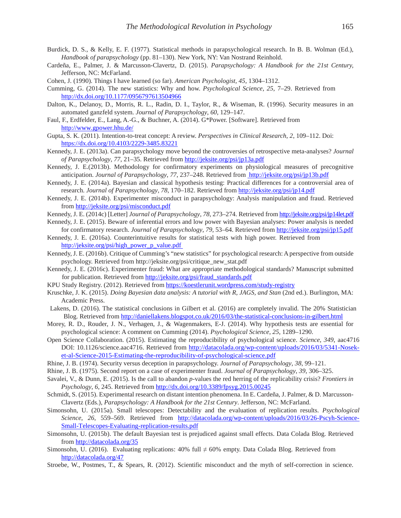- Burdick, D. S., & Kelly, E. F. (1977). Statistical methods in parapsychological research. In B. B. Wolman (Ed.), *Handbook of parapsychology* (pp. 81–130). New York, NY: Van Nostrand Reinhold.
- Cardeña, E., Palmer, J. & Marcusson-Clavertz, D. (2015). *Parapsychology: A Handbook for the 21st Century,* Jefferson, NC: McFarland.
- Cohen, J. (1990). Things I have learned (so far). *American Psychologist, 45*, 1304–1312.
- Cumming, G. (2014). The new statistics: Why and how. *Psychological Science*, *25*, 7–29. Retrieved from <http://dx.doi.org/10.1177/0956797613504966>
- Dalton, K., Delanoy, D., Morris, R. L., Radin, D. I., Taylor, R., & Wiseman, R. (1996). Security measures in an automated ganzfeld system. *Journal of Parapsychology*, *60*, 129–147.
- Faul, F., Erdfelder, E., Lang, A.-G., & Buchner, A. (2014). G\*Power. [Software]. Retrieved from <http://www.gpower.hhu.de/>
- Gupta, S. K. (2011). Intention-to-treat concept: A review. *Perspectives in Clinical Research*, *2*, 109–112. Doi: <https://dx.doi.org/10.4103/2229-3485.83221>
- Kennedy, J. E. (2013a). Can parapsychology move beyond the controversies of retrospective meta-analyses? *Journal of Parapsychology*, *77*, 21–35. Retrieved from<http://jeksite.org/psi/jp13a.pdf>
- Kennedy, J. E.(2013b). Methodology for confirmatory experiments on physiological measures of precognitive anticipation. *Journal of Parapsychology*, *77*, 237–248. Retrieved from <http://jeksite.org/psi/jp13b.pdf>
- Kennedy, J. E. (2014a). Bayesian and classical hypothesis testing: Practical differences for a controversial area of research. *Journal of Parapsychology*, *78*, 170–182. Retrieved from<http://jeksite.org/psi/jp14.pdf>
- Kennedy, J. E. (2014b). Experimenter misconduct in parapsychology: Analysis manipulation and fraud. Retrieved fro[m http://jeksite.org/psi/misconduct.pdf](http://jeksite.org/psi/misconduct.pdf)
- Kennedy, J. E. (2014c) [Letter] *Journal of Parapsychology*, *78,* 273–274. Retrieved from <http://jeksite.org/psi/jp14let.pdf>
- Kennedy, J. E. (2015). Beware of inferential errors and low power with Bayesian analyses: Power analysis is needed for confirmatory research. *Journal of Parapsychology*, *79,* 53–64. Retrieved from<http://jeksite.org/psi/jp15.pdf>
- Kennedy, J. E. (2016a). Counterintuitive results for statistical tests with high power. Retrieved from [http://jeksite.org/psi/high\\_power\\_p\\_value.pdf](http://jeksite.org/psi/high_power_p_value.pdf)
- Kennedy, J. E. (2016b). Critique of Cumming's "new statistics" for psychological research: Aperspective from outside psychology. Retrieved from http://jeksite.org/psi/critique\_new\_stat.pdf
- Kennedy, J. E. (2016c). Experimenter fraud: What are appropriate methodological standards? Manuscript submitted for publication. Retrieved from [http://jeksite.org/psi/fraud\\_standards.pdf](http://jeksite.org/psi/fraud_standards.pdf)
- KPU Study Registry. (2012). Retrieved fro[m https://koestlerunit.wordpress.com/study-registry](https://koestlerunit.wordpress.com/study-registry)
- Kruschke, J. K. (2015). *Doing Bayesian data analysis: A tutorial with R, JAGS, and Stan* (2nd ed.). Burlington, MA: Academic Press.
- Lakens, D. (2016). The statistical conclusions in Gilbert et al. (2016) are completely invalid. The 20% Statistician Blog. Retrieved from<http://daniellakens.blogspot.co.uk/2016/03/the-statistical-conclusions-in-gilbert.html>
- Morey, R. D., Rouder, J. N., Verhagen, J., & Wagenmakers, E-J. (2014). Why hypothesis tests are essential for psychological science: A comment on Cumming (2014). *Psychological Science*, *25*, 1289–1290.
- Open Science Collaboration. (2015). Estimating the reproducibility of psychological science. *Science*, *349*, aac4716 DOI: 10.1126/science.aac4716. Retrieved from [http://datacolada.org/wp-content/uploads/2016/03/5341-Nosek](http://datacolada.org/wp-content/uploads/2016/03/5341-Nosek-et-al-Science-2015-Estimating-the-reproducibility-of-psychological-science.pdf)[et-al-Science-2015-Estimating-the-reproducibility-of-psychological-science.pdf](http://datacolada.org/wp-content/uploads/2016/03/5341-Nosek-et-al-Science-2015-Estimating-the-reproducibility-of-psychological-science.pdf)
- Rhine, J. B. (1974). Security versus deception in parapsychology. *Journal of Parapsychology*, *38*, 99–121.
- Rhine, J. B. (1975). Second report on a case of experimenter fraud. *Journal of Parapsychology*, *39*, 306–325.
- Savalei, V., & Dunn, E. (2015). Is the call to abandon *p-*values the red herring of the replicability crisis? *Frontiers in Psychology*, *6*, 245. Retrieved from<http://dx.doi.org/10.3389/fpsyg.2015.00245>
- Schmidt, S. (2015). Experimental research on distant intention phenomena. In E. Cardeña, J. Palmer, & D. Marcusson-Clavertz (Eds.), *Parapsychology: A Handbook for the 21st Century*. Jefferson, NC: McFarland.
- Simonsohn, U. (2015a). Small telescopes: Detectability and the evaluation of replication results. *Psychological Science*, *26*, 559–569. Retrieved from [http://datacolada.org/wp-content/uploads/2016/03/26-Pscyh-Science-](http://datacolada.org/wp-content/uploads/2016/03/26-Pscyh-Science-Small-Telescopes-Evaluating-replication-results.pdf)[Small-Telescopes-Evaluating-replication-results.pdf](http://datacolada.org/wp-content/uploads/2016/03/26-Pscyh-Science-Small-Telescopes-Evaluating-replication-results.pdf)
- Simonsohn, U. (2015b). The default Bayesian test is prejudiced against small effects. Data Colada Blog. Retrieved fro[m http://datacolada.org/35](http://datacolada.org/35)
- Simonsohn, U. (2016). Evaluating replications:  $40\%$  full  $\neq 60\%$  empty. Data Colada Blog. Retrieved from <http://datacolada.org/47>
- Stroebe, W., Postmes, T., & Spears, R. (2012). Scientific misconduct and the myth of self-correction in science.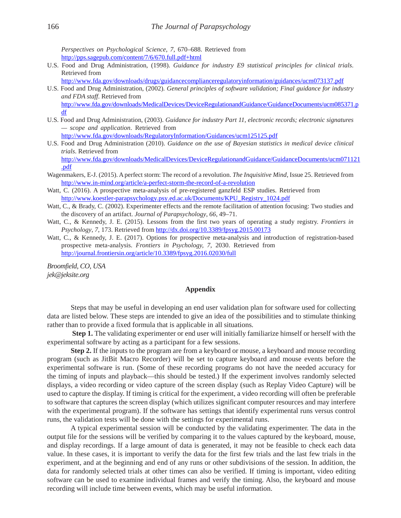*Perspectives on Psychological Science*, *7*, 670–688. Retrieved from <http://pps.sagepub.com/content/7/6/670.full.pdf+html>

- U.S. Food and Drug Administration, (1998). *Guidance for industry E9 statistical principles for clinical trials*. Retrieved from
	- <http://www.fda.gov/downloads/drugs/guidancecomplianceregulatoryinformation/guidances/ucm073137.pdf>
- U.S. Food and Drug Administration, (2002). *General principles of software validation; Final guidance for industry and FDA staff*. Retrieved from [http://www.fda.gov/downloads/MedicalDevices/DeviceRegulationandGuidance/GuidanceDocuments/ucm085371.p](http://www.fda.gov/downloads/MedicalDevices/DeviceRegulationandGuidance/GuidanceDocuments/ucm085371.pdf) [df](http://www.fda.gov/downloads/MedicalDevices/DeviceRegulationandGuidance/GuidanceDocuments/ucm085371.pdf)
- U.S. Food and Drug Administration, (2003). *Guidance for industry Part 11, electronic records; electronic signatures — scope and application*. Retrieved from

<http://www.fda.gov/downloads/RegulatoryInformation/Guidances/ucm125125.pdf>

U.S. Food and Drug Administration (2010). *Guidance on the use of Bayesian statistics in medical device clinical trials*. Retrieved from

[http://www.fda.gov/downloads/MedicalDevices/DeviceRegulationandGuidance/GuidanceDocuments/ucm071121](http://www.fda.gov/downloads/MedicalDevices/DeviceRegulationandGuidance/GuidanceDocuments/ucm071121.pdf) [.pdf](http://www.fda.gov/downloads/MedicalDevices/DeviceRegulationandGuidance/GuidanceDocuments/ucm071121.pdf)

- Wagenmakers, E-J. (2015). A perfect storm: The record of a revolution. *The Inquisitive Mind*, Issue 25. Retrieved from <http://www.in-mind.org/article/a-perfect-storm-the-record-of-a-revolution>
- Watt, C. (2016). A prospective meta-analysis of pre-registered ganzfeld ESP studies. Retrieved from [http://www.koestler-parapsychology.psy.ed.ac.uk/Documents/KPU\\_Registry\\_1024.pdf](http://www.koestler-parapsychology.psy.ed.ac.uk/Documents/KPU_Registry_1024.pdf)
- Watt, C., & Brady, C. (2002). Experimenter effects and the remote facilitation of attention focusing: Two studies and the discovery of an artifact. *Journal of Parapsychology*, *66*, 49–71.
- Watt, C., & Kennedy, J. E. (2015). Lessons from the first two years of operating a study registry. *Frontiers in Psychology*, *7*, 173. Retrieved from<http://dx.doi.org/10.3389/fpsyg.2015.00173>
- Watt, C., & Kennedy, J. E. (2017). Options for prospective meta-analysis and introduction of registration-based prospective meta-analysis. *Frontiers in Psychology, 7*, 2030. Retrieved from <http://journal.frontiersin.org/article/10.3389/fpsyg.2016.02030/full>

*Broomfield, CO, USA jek@jeksite.org*

## **Appendix**

Steps that may be useful in developing an end user validation plan for software used for collecting data are listed below. These steps are intended to give an idea of the possibilities and to stimulate thinking rather than to provide a fixed formula that is applicable in all situations.

**Step 1.** The validating experimenter or end user will initially familiarize himself or herself with the experimental software by acting as a participant for a few sessions.

**Step 2.** If the inputs to the program are from a keyboard or mouse, a keyboard and mouse recording program (such as JitBit Macro Recorder) will be set to capture keyboard and mouse events before the experimental software is run. (Some of these recording programs do not have the needed accuracy for the timing of inputs and playback—this should be tested.) If the experiment involves randomly selected displays, a video recording or video capture of the screen display (such as Replay Video Capture) will be used to capture the display. If timing is critical for the experiment, a video recording will often be preferable to software that captures the screen display (which utilizes significant computer resources and may interfere with the experimental program). If the software has settings that identify experimental runs versus control runs, the validation tests will be done with the settings for experimental runs.

A typical experimental session will be conducted by the validating experimenter. The data in the output file for the sessions will be verified by comparing it to the values captured by the keyboard, mouse, and display recordings. If a large amount of data is generated, it may not be feasible to check each data value. In these cases, it is important to verify the data for the first few trials and the last few trials in the experiment, and at the beginning and end of any runs or other subdivisions of the session. In addition, the data for randomly selected trials at other times can also be verified. If timing is important, video editing software can be used to examine individual frames and verify the timing. Also, the keyboard and mouse recording will include time between events, which may be useful information.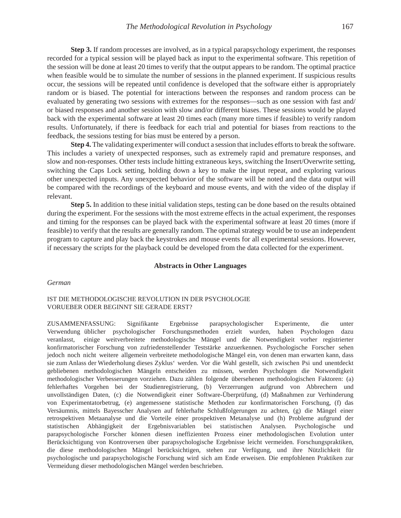**Step 3.** If random processes are involved, as in a typical parapsychology experiment, the responses recorded for a typical session will be played back as input to the experimental software. This repetition of the session will be done at least 20 times to verify that the output appears to be random. The optimal practice when feasible would be to simulate the number of sessions in the planned experiment. If suspicious results occur, the sessions will be repeated until confidence is developed that the software either is appropriately random or is biased. The potential for interactions between the responses and random process can be evaluated by generating two sessions with extremes for the responses—such as one session with fast and/ or biased responses and another session with slow and/or different biases. These sessions would be played back with the experimental software at least 20 times each (many more times if feasible) to verify random results. Unfortunately, if there is feedback for each trial and potential for biases from reactions to the feedback, the sessions testing for bias must be entered by a person.

**Step 4.** The validating experimenter will conduct a session that includes efforts to break the software. This includes a variety of unexpected responses, such as extremely rapid and premature responses, and slow and non-responses. Other tests include hitting extraneous keys, switching the Insert/Overwrite setting, switching the Caps Lock setting, holding down a key to make the input repeat, and exploring various other unexpected inputs. Any unexpected behavior of the software will be noted and the data output will be compared with the recordings of the keyboard and mouse events, and with the video of the display if relevant.

**Step 5.** In addition to these initial validation steps, testing can be done based on the results obtained during the experiment. For the sessions with the most extreme effects in the actual experiment, the responses and timing for the responses can be played back with the experimental software at least 20 times (more if feasible) to verify that the results are generally random. The optimal strategy would be to use an independent program to capture and play back the keystrokes and mouse events for all experimental sessions. However, if necessary the scripts for the playback could be developed from the data collected for the experiment.

#### **Abstracts in Other Languages**

#### *German*

#### IST DIE METHODOLOGISCHE REVOLUTION IN DER PSYCHOLOGIE VORUEBER ODER BEGINNT SIE GERADE ERST?

ZUSAMMENFASSUNG: Signifikante Ergebnisse parapsychologischer Experimente, die unter Verwendung üblicher psychologischer Forschungsmethoden erzielt wurden, haben Psychologen dazu veranlasst, einige weitverbreitete methodologische Mängel und die Notwendigkeit vorher registrierter konfirmatorischer Forschung von zufriedenstellender Teststärke anzuerkennen. Psychologische Forscher sehen jedoch noch nicht weitere allgemein verbreitete methodologische Mängel ein, von denen man erwarten kann, dass sie zum Anlass der Wiederholung dieses Zyklus' werden. Vor die Wahl gestellt, sich zwischen Psi und unentdeckt gebliebenen methodologischen Mängeln entscheiden zu müssen, werden Psychologen die Notwendigkeit methodologischer Verbesserungen vorziehen. Dazu zählen folgende übersehenen methodologischen Faktoren: (a) fehlerhaftes Vorgehen bei der Studienregistrierung, (b) Verzerrungen aufgrund von Abbrechern und unvollständigen Daten, (c) die Notwendigkeit einer Software-Überprüfung, (d) Maßnahmen zur Verhinderung von Experimentatorbetrug, (e) angemessene statistische Methoden zur konfirmatorischen Forschung, (f) das Versäumnis, mittels Bayesscher Analysen auf fehlerhafte Schlußfolgerungen zu achten, (g) die Mängel einer retrospektiven Metaanalyse und die Vorteile einer prospektiven Metanalyse und (h) Probleme aufgrund der statistischen Abhängigkeit der Ergebnisvariablen bei statistischen Analysen. Psychologische und parapsychologische Forscher können diesen ineffizienten Prozess einer methodologischen Evolution unter Berücksichtigung von Kontroversen über parapsychologische Ergebnisse leicht vermeiden. Forschungspraktiken, die diese methodologischen Mängel berücksichtigen, stehen zur Verfügung, und ihre Nützlichkeit für psychologische und parapsychologische Forschung wird sich am Ende erweisen. Die empfohlenen Praktiken zur Vermeidung dieser methodologischen Mängel werden beschrieben.